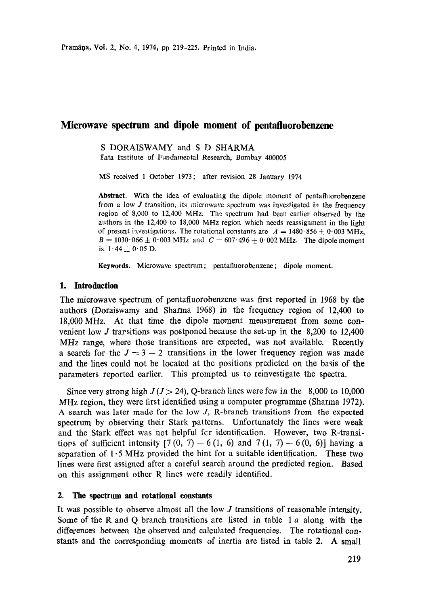# **Microwave spectrum and dipole moment of pentafluorobenzene**

#### S DORAISWAMY and S D SHARMA Tata Institute of Fundamental Research, Bombay 400005

MS received 1 October 1973; after revision 28 January 1974

Abstract. With the idea of evaluating the dipole moment of pentafla:orobenzene from a low J transition, its microwave spectrum was investigated in the frequency region of 8,000 to 12,400 MFIz. The spectrum had been earlier observed by **the**  authors in the 12,400 to 18,000 MHz region which needs reassignment in the light of present investigations. The rotational constants are  $A = 1480.856 \pm 0.003 \text{ MHz}$ ,  $B = 1030.066 \pm 0.003 \text{ MHz}$  and  $C = 607.496 \pm 0.002 \text{ MHz}$ . The dipole moment is  $1.44 + 0.05$  D.

**Keywords.** Microwave spectrum ; pentafluorobenzene ; dipole moment.

#### **1. Introduction**

The microwave spectrum of pentafluorobenzene was first reported in 1968 by the authors (Doraiswamy and Sharma 1968) in the frequency region of  $12,400$  to 18,000 *MHz.* At that time the dipole moment measurement from some convenient low J trarsitions was postponed because the set-up in the 8,200 to 12,400 MHz range, where those transitions are expected, was not available. Recently a search for the  $J = 3 - 2$  transitions in the lower frequency region was made and the lines could not be located at the positions predicted on the basis of the parameters reported earlier. This prompted us to reinvestigate the spectra.

Since very strong high  $J(J> 24)$ , O-branch lines were few in the 8,000 to 10,000 MHz region, they were first identified using a computer programme (Sharma 1972). A search was later made for the low J, R-branch transitions from the expected spectrum by observing their Stark patterns. Unfortunately the lines were weak and the Stark effect was not helpful fcr identification. However, two R-transitions of sufficient intensity  $[7 (0, 7) - 6 (1, 6)$  and  $7 (1, 7) - 6 (0, 6)]$  having a separation of  $1.5 \text{ MHz}$  provided the hint for a suitable identification. These two lines were first assigned after a careful search around the predicted region. Based on this assignment other R lines were readily identified.

### **2. The spectrum and rotational constants**

It was possible to observe almost all the low J transitions of reasonable intensity. Some of the R and Q branch transitions are listed in table  $1a$  along with the differences between the observed and calculated frequencies. The rotational constants and the corresponding moments of inertia are listed in table 2. A small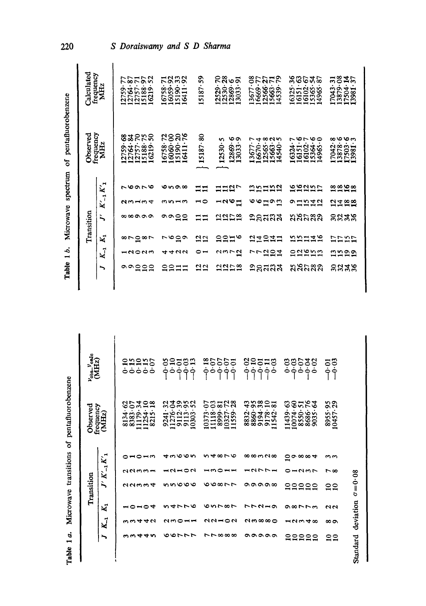|                                                        | Calculated<br>frequency             | MHz                                                     | 2759-77              | 12764.87<br>12757.71<br>15188.97 | 52<br>16219                                                                                                             |         | $\frac{16758 \cdot 71}{16059 \cdot 92}$<br>15190-33<br>15190-32 |                                                                                                              | 15187-59                                      |                                                                                               | 12529-70<br>12530-28 | 12869.91<br>13033.91                                                 | 3677.08  |                                                      |                                                                                                                                                                                                                                                                                                                                  | $\frac{16669 \cdot 77}{12566 \cdot 27}$<br>12566: 27<br>14539 · 79 |         | 16325-36<br>16151-63                                                     | 16102 | 222<br>15365<br>14965                                                                           |                     | $\begin{array}{c} 17043 \cdot 31 \\ 13879 \cdot 08 \\ 17504 \cdot 14 \\ 17504 \cdot 37 \end{array}$ |                                          |                                    |
|--------------------------------------------------------|-------------------------------------|---------------------------------------------------------|----------------------|----------------------------------|-------------------------------------------------------------------------------------------------------------------------|---------|-----------------------------------------------------------------|--------------------------------------------------------------------------------------------------------------|-----------------------------------------------|-----------------------------------------------------------------------------------------------|----------------------|----------------------------------------------------------------------|----------|------------------------------------------------------|----------------------------------------------------------------------------------------------------------------------------------------------------------------------------------------------------------------------------------------------------------------------------------------------------------------------------------|--------------------------------------------------------------------|---------|--------------------------------------------------------------------------|-------|-------------------------------------------------------------------------------------------------|---------------------|-----------------------------------------------------------------------------------------------------|------------------------------------------|------------------------------------|
|                                                        | frequency<br>Observed<br>MHz        |                                                         | 12759.68<br>12764.84 |                                  | 12757.70<br>15188.75<br>16219.50                                                                                        |         |                                                                 | $\begin{array}{c} 16758\cdot 72\\ 16060\cdot 00\\ 15190\cdot 20\\ 15130\cdot 30\\ 16411\cdot 76 \end{array}$ | $15187 - 80$                                  |                                                                                               | $12530 - 5$          | 12869-6<br>13033-9                                                   |          | $13677.7$<br>$16670.4$                               |                                                                                                                                                                                                                                                                                                                                  | 12565.8<br>15663.2<br>14540.5                                      |         | r<br>6324.                                                               |       | $\begin{array}{r} 16151 \cdot 6 \\ 16102 \cdot 7 \\ 15364 \cdot 6 \\ 14965 \cdot 0 \end{array}$ |                     | ∞<br>17042.                                                                                         | $\frac{13878}{17503 \cdot 5}$<br>17503.3 |                                    |
| Microwave spectrum of pentafluorobenzene<br>Table 1 b. | Transition                          | $K_{-1}$ $K_{1}^{\prime}$<br>ì.,<br>K,<br>$K_{-1}$<br>╮ | ೧೧                   |                                  | へんのとの<br>ペットラム<br>∞∞∞∞∞<br>∞⊳≘∞⊳<br>- 2022<br>$\frac{1}{2}$<br>$\mathbf{a}$                                             | ෑ<br>្ម | <b>0000</b><br>ຕທ⊣ຕ<br>໑໑≘ຊ<br>∼ం≃ల                             | せいひ<br>277                                                                                                   | ニニ<br>∾∽<br>$\Xi \Xi$<br>22<br>$\frac{2}{12}$ |                                                                                               |                      | <b>112</b><br>$-0.61$<br>2252<br><b>asal</b><br><u>ผม⊳ผี</u><br>2252 |          | トト                                                   |                                                                                                                                                                                                                                                                                                                                  | <b>95558</b><br><b>しゅいりり</b><br>ឩឧដឍส<br>21235<br>224<br>≘ន្តដនុង  |         |                                                                          |       | 55555<br>っロじはに<br>ងងសន្នង<br><b>22342</b><br>saara<br>ຸ ມູຂຸດສຸລ                                |                     | 2292<br>2728<br><b>8822</b><br><b>2222</b><br>ຕຕລອ<br><b>និង</b> ខ្ញុំ                              |                                          |                                    |
|                                                        | $\nu_{\rm obs}\nu_{\rm endo}$ (MHz) |                                                         |                      |                                  | enene<br>Saboo                                                                                                          | ون<br>م | 0.10                                                            | ဒီး<br>၁၁<br>$-0.01$                                                                                         | $-0.18$                                       | $-0.07$<br>0.07                                                                               | $-9.07$              | $-0.01$                                                              | 20.<br>ا | <u>၁</u><br>၁                                        | $\begin{array}{c} 578 \\ 0.000 \\ -0.000 \\ -0.000 \\ -0.000 \\ -0.000 \\ -0.000 \\ -0.000 \\ -0.000 \\ -0.000 \\ -0.000 \\ -0.000 \\ -0.000 \\ -0.000 \\ -0.000 \\ -0.000 \\ -0.000 \\ -0.000 \\ -0.000 \\ -0.000 \\ -0.000 \\ -0.000 \\ -0.000 \\ -0.000 \\ -0.000 \\ -0.000 \\ -0.000 \\ -0.000 \\ -0.000 \\ -0.000 \\ -0.00$ |                                                                    | 0.03    |                                                                          |       | 0.02                                                                                            | ဒုဒ္<br>၁၃          |                                                                                                     |                                          |                                    |
| pentafluorobenzene                                     | frequency<br>Observed<br>(MHz)      |                                                         |                      |                                  | $\begin{array}{c} 8134\cdot 62\\ 833\cdot 07\\ 1179\cdot 34\\ 11254\cdot 10\\ 11254\cdot 10\\ 8215\cdot 18 \end{array}$ |         |                                                                 | 9241.32<br>11276.39<br>112.39<br>9113.95<br>10303.52                                                         | 10373.07                                      | $\begin{array}{c} 1118\cdot 03 \\ 8999\cdot 81 \\ 10327\cdot 72 \\ 11559\cdot 28 \end{array}$ |                      |                                                                      | 8832-43  | 8860.95<br>9194.38<br>9178.10<br>11542.81            |                                                                                                                                                                                                                                                                                                                                  |                                                                    | 1439.63 | $\begin{array}{c} 10074.60 \\ 8550.51 \\ 8550.76 \\ 8686.76 \end{array}$ |       |                                                                                                 | 8955.95<br>10457.29 |                                                                                                     |                                          |                                    |
| ō<br>Microwave transitions                             | Transition                          | $J' K'_{-1} K'_{1}$<br>K,<br>$\zeta_1$                  |                      | ⊸⇔                               | $\blacksquare$<br>つてるるー<br>へへいこつ<br>$-04$<br>44                                                                         |         |                                                                 | <b>4000n</b><br>$\sim$<br>nnooo<br>いんひきの                                                                     | ڡ                                             | いしのじん<br>いのじし<br>しいいめい<br>aanoa                                                               |                      |                                                                      |          | <b>∞∞∞≈</b><br>ークファー<br><b>ൈഡെ</b><br>いてひきの<br>ຕ∞∞∞⊂ |                                                                                                                                                                                                                                                                                                                                  |                                                                    | 0       | $\sigma \infty$<br>ークシア<br><b>88888</b><br>の877m<br>$-0.04048$           |       |                                                                                                 |                     | ოო<br>r∞<br>ខ្ន<br>ี่ ผ<br>∞∞                                                                       |                                          | Standard deviation $\sigma = 0.08$ |
| Table 1a.                                              |                                     | ∽                                                       |                      |                                  |                                                                                                                         |         |                                                                 | つんびん                                                                                                         |                                               | ㄴㄴ∞∞∞                                                                                         |                      |                                                                      |          | ೲೲೲೲ                                                 |                                                                                                                                                                                                                                                                                                                                  |                                                                    |         |                                                                          |       |                                                                                                 |                     | <u>្អ</u>                                                                                           |                                          |                                    |

*220 S Doraiswamy and S D Sharma*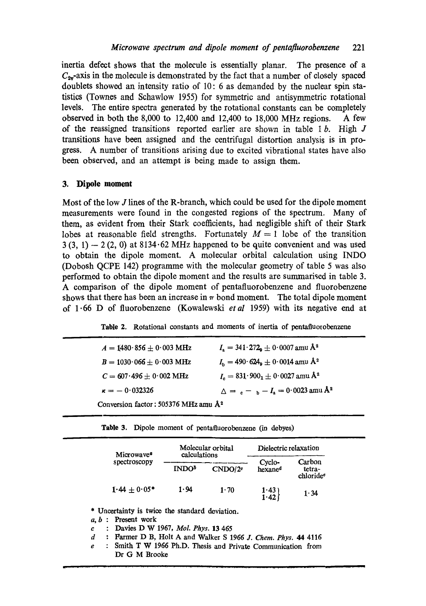inertia defect shows that the molecule is essentially planar. The presence of a  $C_{2v}$ -axis in the molecule is demonstrated by the fact that a number of closely spaced doublets showed an intensity ratio of 10:6 as demanded by the nuclear spin statistics (Townes and Schawlow 1955) for symmetric and antisymmetric rotational levels. The entire spectra generated by the rotational constants can be completely observed in both the 8,000 to 12,400 and 12,400 to 18,000 MHz regions. A few of the reassigned transitions reported earlier are shown in table  $1 b$ . High  $J$ transitions have been assigned and the centrifugal distortion analysis is in progress. A number of transitions arising due to excited vibrational states have also been observed, and an attempt is being made to assign them.

### **3. Dipole moment**

Most of the low J lines of the R-branch, which could be used for the dipole moment measurements were found in the congested regions of the spectrum. Many of them, as evident from their Stark coefficients, had negligible shift of their Stark lobes at reasonable field strengths. Fortunately  $M = 1$  lobe of the transition  $3(3, 1) - 2(2, 0)$  at  $8134.62 \text{ MHz}$  happened to be quite convenient and was used to obtain the dipole moment. A molecular orbital calculation using INDO (Dobosh QCPE 142) programme with the molecular geometry of table 5 was also performed to obtain the dipole moment and the results are summarised in table 3. A comparison of the dipole moment of pentafluorobenzene and fluorobenzene shows that there has been an increase in  $\pi$  bond moment. The total dipole moment of 1.66 D of fluorobenzene (Kowalewski *etal* 1959) with its negative end at

|  |  |  |  |  |  |  |  | Table 2. Rotational constants and moments of inertia of pentafluorobenzene |
|--|--|--|--|--|--|--|--|----------------------------------------------------------------------------|
|--|--|--|--|--|--|--|--|----------------------------------------------------------------------------|

| $A = 1480.856 \pm 0.003 \text{ MHz}$             | $I_s = 341.272$ <sub>9</sub> $\pm$ 0.0007 amu Å <sup>2</sup> |  |  |  |  |  |  |
|--------------------------------------------------|--------------------------------------------------------------|--|--|--|--|--|--|
| $B = 1030 \cdot 066 \pm 0.003$ MHz               | $I_{\rm b} = 490.624_{\rm b} \pm 0.0014$ amu Å <sup>2</sup>  |  |  |  |  |  |  |
| $C = 607.496 + 0.002 \text{ MHz}$                | $I_c = 831.900_1 \pm 0.0027$ amu Å <sup>2</sup>              |  |  |  |  |  |  |
| $\kappa = -0.032326$                             | $\Delta = c - b - I_a = 0.0023$ amu Å <sup>2</sup>           |  |  |  |  |  |  |
| Conversion factor: 505376 MHz amu Å <sup>2</sup> |                                                              |  |  |  |  |  |  |

**Table** 3. Dipole moment of pentafluorobenzene (in debyes)

| Microwaye <sup>6</sup> | calculations             | Molecular orbital   | Dielectric relaxation         |                                           |  |  |
|------------------------|--------------------------|---------------------|-------------------------------|-------------------------------------------|--|--|
| spectroscopy           | <b>INDO</b> <sup>5</sup> | CNDO/2 <sup>o</sup> | Cyclo-<br>hexane <sup>d</sup> | Carbon<br>tetra-<br>chloride <sup>e</sup> |  |  |
| $1.44 + 0.05*$         | 1.94                     | 1.70                | $1.43$ )<br>$-42$             | 1.34                                      |  |  |

\* Uncertainty is twice the standard deviation.

a, b : Present work

- c : Davies D W 1967, *Mol. Phys.* 13 465
- d : Parmer D B, Holt A and Walker S 1966 *J. Chem. Phys.* 44 4116
- e : Smith T W 1966 Ph.D. Thesis and Private Communication from Dr G M Brooke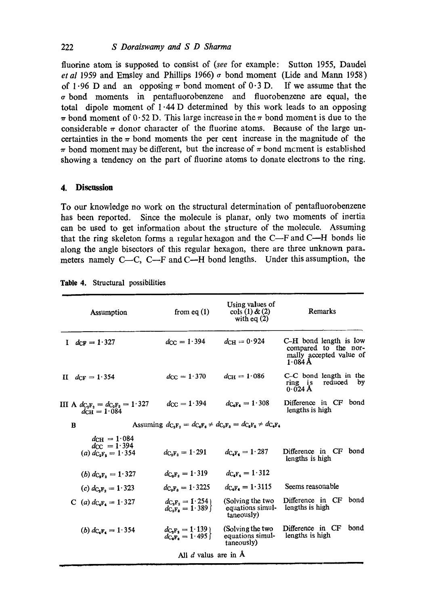fluorine atom is supposed to consist of *(see* for example: Sutton 1955, Daudel *et al* 1959 and Emsley and Phillips 1966)  $\sigma$  bond moment (Lide and Mann 1958) of 1.96 D and an opposing  $\pi$  bond moment of 0.3 D. If we assume that the bond moments in pentafluorobenzene and fluorobenzene are equal, the total dipole moment of  $1.44$  D determined by this work leads to an opposing  $\pi$  bond moment of 0.52 D. This large increase in the  $\pi$  bond moment is due to the considerable  $\pi$  donor character of the fluorine atoms. Because of the large uncertainties in the  $\pi$  bond moments the per cent increase in the magnitude of the  $\pi$  bond moment may be different, but the increase of  $\pi$  bond mcment is established showing a tendency on the part of fluorine atoms to donate electrons to the ring.

## **4. Discussion**

To our knowledge no work on the structural determination of pentafluorobenzene has been reported. Since the molecule is planar, only two moments of inertia can be used to get information about the structure of the molecule. Assuming that the ring skeleton forms a regular hexagon and the C-F and C-H bonds lie along the angle bisectors of this regular hexagon, there are three unknown para. meters namely C- $C$ , C- $F$  and C- $H$  bond lengths. Under this assumption, the

|    | Assumption                                                           | from eq $(1)$                          | Using values of<br>$\cosh(1) \& (2)$<br>with eq $(2)$                                                                                                                          | Remarks                                                                                |  |  |  |  |
|----|----------------------------------------------------------------------|----------------------------------------|--------------------------------------------------------------------------------------------------------------------------------------------------------------------------------|----------------------------------------------------------------------------------------|--|--|--|--|
| T. | $d_{\text{CF}} = 1.327$                                              | $d_{\text{CC}} = 1.394$                | $d_{\rm CH} = 0.924$                                                                                                                                                           | C-H bond length is low<br>compared to the nor-<br>mally accepted value of<br>$1.084$ Å |  |  |  |  |
|    | II $d_{\text{CF}} = 1.354$                                           | $d_{\rm CC} = 1.370$                   | $d_{\text{CH}} = 1.086$                                                                                                                                                        | C-C bond length in the<br>reduced<br>ring is<br>by<br>0.024 A                          |  |  |  |  |
|    | III A $d_{C_2F_2} = d_{C_3F_3} = 1.327$<br>$d_{\text{CH}} = 1.084$   | $d_{\rm CC} = 1.394$                   | $d_{C_4F_4} = 1.308$                                                                                                                                                           | Difference in CF bond<br>lengths is high                                               |  |  |  |  |
| B  |                                                                      |                                        | Assuming $d_{\mathbf{C}_2 \mathbf{F}_2} = d_{\mathbf{C}_4 \mathbf{F}_6} \neq d_{\mathbf{C}_2 \mathbf{F}_8} = d_{\mathbf{C}_6 \mathbf{F}_6} \neq d_{\mathbf{C}_4 \mathbf{F}_4}$ |                                                                                        |  |  |  |  |
|    | $d_{\text{CH}} = 1.084$<br>$dcc = 1.394$<br>(a) $d_{C_2F_1} = 1.354$ | $d_{C_3F_3} = 1.291$                   | $d_{\text{C,F}} = 1.287$                                                                                                                                                       | Difference in CF bond<br>lengths is high                                               |  |  |  |  |
|    | (b) $d_{C_2F_2} = 1.327$                                             | $d_{C_3F_3} = 1.319$                   | $dc_{4}F_{4} = 1.312$                                                                                                                                                          |                                                                                        |  |  |  |  |
|    | (c) $d_{C_2F_2} = 1.323$                                             | $d_{C_3F_3} = 1.3225$                  | $d_{C_4F_4} = 1.3115$                                                                                                                                                          | Seems reasonable                                                                       |  |  |  |  |
|    | C (a) $d_{C_4F_4} = 1.327$                                           | $dC_2F_2 = 1.254$<br>$dC_3F_3 = 1.389$ | (Solving the two<br>equations simul-<br>taneously)                                                                                                                             | Difference in CF<br>bond<br>lengths is high                                            |  |  |  |  |
|    | (b) $d_{C_4F_4} = 1.354$                                             | $dC_2F_2 = 1.139$<br>$dC_3F_8 = 1.495$ | (Solving the two<br>equations simul-<br>taneously)                                                                                                                             | Difference in CF<br>bond<br>lengths is high                                            |  |  |  |  |
|    | All $d$ valus are in $A$                                             |                                        |                                                                                                                                                                                |                                                                                        |  |  |  |  |

**Table 4. Structural possibilities**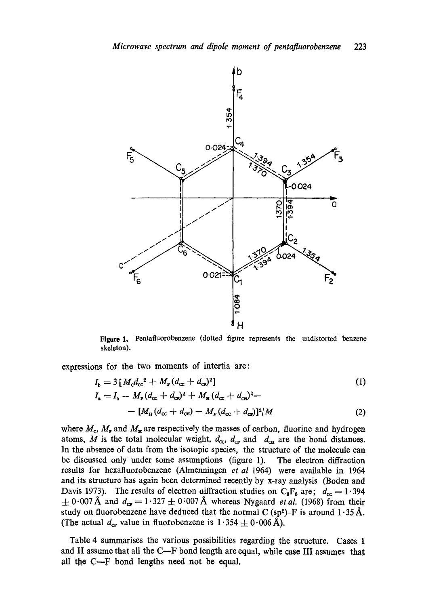

Figure 1. Pentafluorobenzene (dotted figure represents the undistorted benzene skeleton).

expressions for the two moments of intertia are:

$$
I_{\rm b} = 3 [M_{\rm c} d_{\rm cc}^2 + M_{\rm F} (d_{\rm cc} + d_{\rm cr})^2]
$$
\n
$$
I_{\rm a} = I_{\rm b} - M_{\rm F} (d_{\rm cc} + d_{\rm cr})^2 + M_{\rm H} (d_{\rm cc} + d_{\rm cr})^2 -
$$
\n
$$
- [M_{\rm H} (d_{\rm cc} + d_{\rm cr}) - M_{\rm F} (d_{\rm cc} + d_{\rm cr})]^2 / M
$$
\n(2)

where  $M_c$ ,  $M_r$  and  $M_\text{H}$  are respectively the masses of carbon, fluorine and hydrogen atoms, M is the total molecular weight,  $d_{\text{cc}}$ ,  $d_{\text{cr}}$  and  $d_{\text{cm}}$  are the bond distances. In the absence of data from the isotopic species, the structure of the molecule can be discussed only under some assumptions (figure 1). The electron diffraction results for hexafluorobenzene (Almenningen et al 1964) were available in 1964 and its structure has again been determined recently by x-ray analysis (Boden and Davis 1973). The results of electron aiffraction studies on  $C_6F_6$  are;  $d_{cc} = 1.394$  $\pm$  0.007 Å and  $d_{\text{ce}} = 1.327 \pm 0.007$  Å whereas Nygaard *et al.* (1968) from their study on fluorobenzene have deduced that the normal C (sp<sup>2</sup>)-F is around  $1.35 \text{ Å}.$ (The actual  $d_{\rm cr}$  value in fluorobenzene is  $1.354 \pm 0.006$  Å).

Table 4 summarises the various possibilities regarding the structure. Cases I and II assume that all the C--F bond length are equal, while case III assumes that all the  $C-F$  bond lengths need not be equal,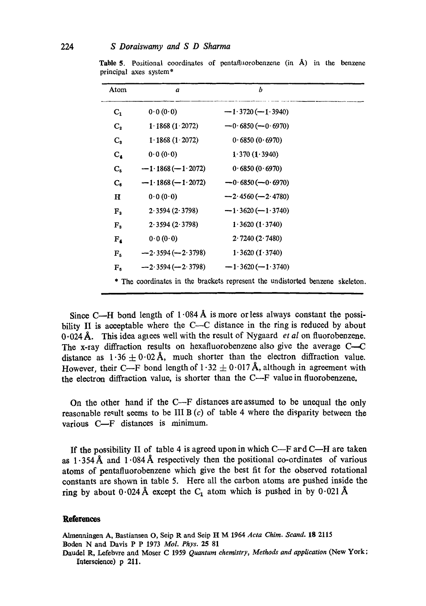| Atom                    | a                   | b                                                                             |  |
|-------------------------|---------------------|-------------------------------------------------------------------------------|--|
| C <sub>1</sub>          | 0.0(0.0)            | $-1.3720(-1.3940)$                                                            |  |
| $C_{2}$                 | 1.1868(1.2072)      | $-0.6850(-0.6970)$                                                            |  |
| $C_{\rm R}$             | 1.1868(1.2072)      | 0.6850(0.6970)                                                                |  |
| $\mathbf{C}_4$          | 0.0(0.0)            | 1.370(1.3940)                                                                 |  |
| $C_{5}$                 | $-1.1868(-1.2072)$  | 0.6850(0.6970)                                                                |  |
| $\mathbf{C}_{\epsilon}$ | $-1.1868 (-1.2072)$ | $-0.6850(-0.6970)$                                                            |  |
| н                       | 0.0(0.0)            | $-2.4560(-2.4780)$                                                            |  |
| ${\bf F_2}$             | 2.3594(2.3798)      | $-1.3620(-1.3740)$                                                            |  |
| $F_{3}$                 | 2.3594(2.3798)      | 1.3620(1.3740)                                                                |  |
| $F_{\rm A}$             | 0.0(0.0)            | 2.7240(2.7480)                                                                |  |
| $F_{5}$                 | $-2.3594(-2.3798)$  | 1.3620(1.3740)                                                                |  |
| ${\bf F}_{{\bf s}}$     | $-2.3594(-2.3798)$  | $-1.3620(-1.3740)$                                                            |  |
|                         |                     | * The coordinates in the brackets represent the undistorted benzene skeleton. |  |

**Table 5.** Positional coordinates of pentafluorobenzene (in  $\hat{A}$ ) in the benzene principal axes system\*

Since C--H bond length of  $1.084 \text{ Å}$  is more or less always constant the possibility II is acceptable where the C--C distance in the ring is reduced by about 0.024A. This idea agrees well with the result of Nygaard *et al* on fluorobenzene. The x-ray diffraction results on hexafluorobenzene also give the average C-C distance as  $1.36 \pm 0.02$  Å, much shorter than the electron diffraction value. However, their C—F bond length of  $1.32 \pm 0.017$  Å, although in agreement with the electron diffraction value, is shorter than the C--F value in fluorobenzene.

On the other hand if the C--F distances are assumed to be unequal the only reasonable result seems to be III B  $(c)$  of table 4 where the disparity between the various C-F distances is minimum.

If the possibility II of table 4 is agreed upon in which  $C-F$  ard  $C-H$  are taken as  $1.354~\text{\AA}$  and  $1.084~\text{\AA}$  respectively then the positional co-ordinates of various atoms of pentafluorobenzene which give the best fit for the observed rotational constants are shown in table 5. Here all the carbon atoms are pushed inside the ring by about  $0.024~\text{\AA}$  except the C<sub>1</sub> atom which is pushed in by  $0.021~\text{\AA}$ 

#### **References**

Almenningea A, Bastiansen O, Seip R artd Seip H M 1964 *Acta Chim. Scand.* 18 2115 Boden N artd Davis P P 1973 *MoL Phys.* 25 81 Daudel R, Lefebvre and Moser C 1959 *Quantum chemistry, Methods and application* (New York; Iaterscieace) p 211.